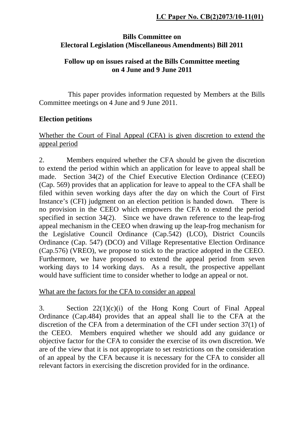### **Bills Committee on Electoral Legislation (Miscellaneous Amendments) Bill 2011**

### **Follow up on issues raised at the Bills Committee meeting on 4 June and 9 June 2011**

 This paper provides information requested by Members at the Bills Committee meetings on 4 June and 9 June 2011.

### **Election petitions**

### Whether the Court of Final Appeal (CFA) is given discretion to extend the appeal period

2. Members enquired whether the CFA should be given the discretion to extend the period within which an application for leave to appeal shall be made. Section 34(2) of the Chief Executive Election Ordinance (CEEO) (Cap. 569) provides that an application for leave to appeal to the CFA shall be filed within seven working days after the day on which the Court of First Instance's (CFI) judgment on an election petition is handed down. There is no provision in the CEEO which empowers the CFA to extend the period specified in section 34(2). Since we have drawn reference to the leap-frog appeal mechanism in the CEEO when drawing up the leap-frog mechanism for the Legislative Council Ordinance (Cap.542) (LCO), District Councils Ordinance (Cap. 547) (DCO) and Village Representative Election Ordinance (Cap.576) (VREO), we propose to stick to the practice adopted in the CEEO. Furthermore, we have proposed to extend the appeal period from seven working days to 14 working days. As a result, the prospective appellant would have sufficient time to consider whether to lodge an appeal or not.

What are the factors for the CFA to consider an appeal

3. Section 22(1)(c)(i) of the Hong Kong Court of Final Appeal Ordinance (Cap.484) provides that an appeal shall lie to the CFA at the discretion of the CFA from a determination of the CFI under section 37(1) of the CEEO. Members enquired whether we should add any guidance or objective factor for the CFA to consider the exercise of its own discretion. We are of the view that it is not appropriate to set restrictions on the consideration of an appeal by the CFA because it is necessary for the CFA to consider all relevant factors in exercising the discretion provided for in the ordinance.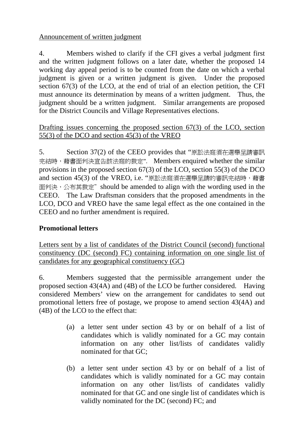## Announcement of written judgment

4. Members wished to clarify if the CFI gives a verbal judgment first and the written judgment follows on a later date, whether the proposed 14 working day appeal period is to be counted from the date on which a verbal judgment is given or a written judgment is given. Under the proposed section 67(3) of the LCO, at the end of trial of an election petition, the CFI must announce its determination by means of a written judgment. Thus, the judgment should be a written judgment. Similar arrangements are proposed for the District Councils and Village Representatives elections.

### Drafting issues concerning the proposed section 67(3) of the LCO, section 55(3) of the DCO and section 45(3) of the VREO

5. Section 37(2) of the CEEO provides that "原訟法庭須在選舉呈請審訊 完結時,藉書面判決宣告該法庭的裁定". Members enquired whether the similar provisions in the proposed section 67(3) of the LCO, section 55(3) of the DCO and section 45(3) of the VREO, i.e. "原訟法庭須在選舉呈請的審訊完結時,藉書 面判決, 公布其裁定" should be amended to align with the wording used in the CEEO. The Law Draftsman considers that the proposed amendments in the LCO, DCO and VREO have the same legal effect as the one contained in the CEEO and no further amendment is required.

# **Promotional letters**

Letters sent by a list of candidates of the District Council (second) functional constituency (DC (second) FC) containing information on one single list of candidates for any geographical constituency (GC)

6. Members suggested that the permissible arrangement under the proposed section 43(4A) and (4B) of the LCO be further considered. Having considered Members' view on the arrangement for candidates to send out promotional letters free of postage, we propose to amend section 43(4A) and (4B) of the LCO to the effect that:

- (a) a letter sent under section 43 by or on behalf of a list of candidates which is validly nominated for a GC may contain information on any other list/lists of candidates validly nominated for that GC;
- (b) a letter sent under section 43 by or on behalf of a list of candidates which is validly nominated for a GC may contain information on any other list/lists of candidates validly nominated for that GC and one single list of candidates which is validly nominated for the DC (second) FC; and